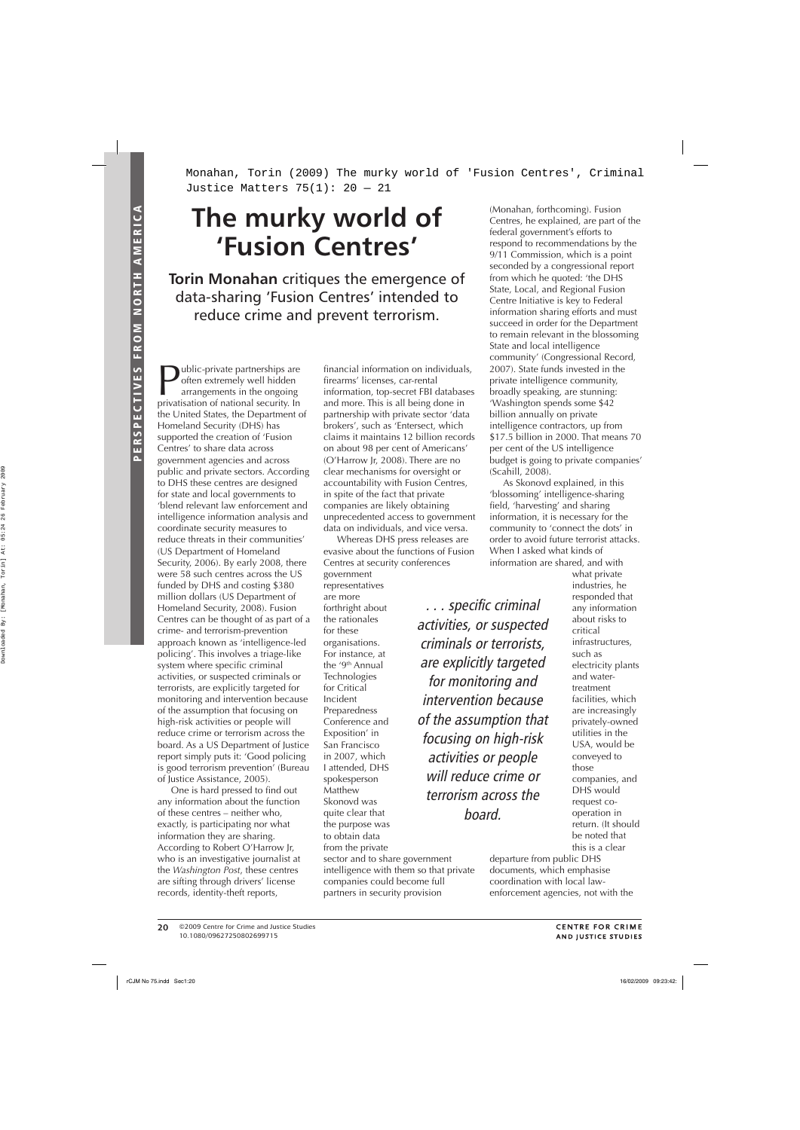Monahan, Torin (2009) The murky world of 'Fusion Centres', Criminal Justice Matters  $75(1): 20 - 21$ 

## **The murky world of 'Fusion Centres'**

**Torin Monahan** critiques the emergence of data-sharing 'Fusion Centres' intended to reduce crime and prevent terrorism.

ublic-private partnerships are often extremely well hidden arrangements in the ongoing privatisation of national security. In the United States, the Department of Homeland Security (DHS) has supported the creation of 'Fusion Centres' to share data across government agencies and across public and private sectors. According to DHS these centres are designed for state and local governments to 'blend relevant law enforcement and intelligence information analysis and coordinate security measures to reduce threats in their communities' (US Department of Homeland Security, 2006). By early 2008, there were 58 such centres across the US funded by DHS and costing \$380 million dollars (US Department of Homeland Security, 2008). Fusion Centres can be thought of as part of a crime- and terrorism-prevention approach known as 'intelligence-led policing'. This involves a triage-like system where specific criminal activities, or suspected criminals or terrorists, are explicitly targeted for monitoring and intervention because of the assumption that focusing on high-risk activities or people will reduce crime or terrorism across the board. As a US Department of Justice report simply puts it: 'Good policing is good terrorism prevention' (Bureau of Justice Assistance, 2005).

One is hard pressed to find out any information about the function of these centres – neither who, exactly, is participating nor what information they are sharing. According to Robert O'Harrow Jr, who is an investigative journalist at the *Washington Post*, these centres are sifting through drivers' license records, identity-theft reports,

financial information on individuals, firearms' licenses, car-rental information, top-secret FBI databases and more. This is all being done in partnership with private sector 'data brokers', such as 'Entersect, which claims it maintains 12 billion records on about 98 per cent of Americans' (O'Harrow Jr, 2008). There are no clear mechanisms for oversight or accountability with Fusion Centres, in spite of the fact that private companies are likely obtaining unprecedented access to government data on individuals, and vice versa.

Whereas DHS press releases are evasive about the functions of Fusion Centres at security conferences government representatives are more forthright about the rationales for these ... specific criminal

sector and to share government intelligence with them so that private companies could become full partners in security provision

organisations. For instance, at the '9<sup>th</sup> Annual Technologies for Critical Incident Preparedness Conference and Exposition' in San Francisco in 2007, which I attended, DHS spokesperson Matthew Skonovd was quite clear that the purpose was to obtain data from the private

activities, or suspected criminals or terrorists, are explicitly targeted for monitoring and intervention because of the assumption that focusing on high-risk activities or people will reduce crime or terrorism across the board.

(Monahan, forthcoming). Fusion Centres, he explained, are part of the federal government's efforts to respond to recommendations by the 9/11 Commission, which is a point seconded by a congressional report from which he quoted: 'the DHS State, Local, and Regional Fusion Centre Initiative is key to Federal information sharing efforts and must succeed in order for the Department to remain relevant in the blossoming State and local intelligence community' (Congressional Record, 2007). State funds invested in the private intelligence community, broadly speaking, are stunning: 'Washington spends some \$42 billion annually on private intelligence contractors, up from \$17.5 billion in 2000. That means 70 per cent of the US intelligence budget is going to private companies' (Scahill, 2008).

As Skonovd explained, in this 'blossoming' intelligence-sharing<br>field, 'harvesting' and sharing information, it is necessary for the community to 'connect the dots' in order to avoid future terrorist attacks. When I asked what kinds of information are shared, and with

what private industries, he responded that any information about risks to critical infrastructures, such as electricity plants and watertreatment facilities, which are increasingly privately-owned utilities in the USA, would be conveyed to those companies, and DHS would request cooperation in return. (It should be noted that this is a clear

departure from public DHS documents, which emphasise coordination with local lawenforcement agencies, not with the